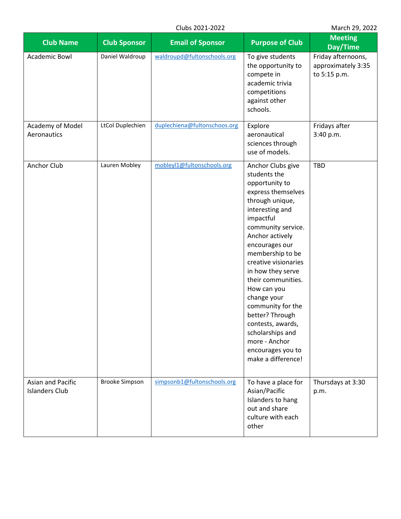|  |  | Clubs 2021-2022 |
|--|--|-----------------|
|--|--|-----------------|

March 29, 2022

| <b>Club Name</b>                           | <b>Club Sponsor</b>   | <b>Email of Sponsor</b>      | <b>Purpose of Club</b>                                                                                                                                                                                                                                                                                                                                                                                                                                    | <b>Meeting</b><br>Day/Time                               |
|--------------------------------------------|-----------------------|------------------------------|-----------------------------------------------------------------------------------------------------------------------------------------------------------------------------------------------------------------------------------------------------------------------------------------------------------------------------------------------------------------------------------------------------------------------------------------------------------|----------------------------------------------------------|
| <b>Academic Bowl</b>                       | Daniel Waldroup       | waldroupd@fultonschools.org  | To give students<br>the opportunity to<br>compete in<br>academic trivia<br>competitions<br>against other<br>schools.                                                                                                                                                                                                                                                                                                                                      | Friday afternoons,<br>approximately 3:35<br>to 5:15 p.m. |
| Academy of Model<br>Aeronautics            | LtCol Duplechien      | duplechiena@fultonschoos.org | Explore<br>aeronautical<br>sciences through<br>use of models.                                                                                                                                                                                                                                                                                                                                                                                             | Fridays after<br>3:40 p.m.                               |
| Anchor Club                                | Lauren Mobley         | mobleyl1@fultonschools.org   | Anchor Clubs give<br>students the<br>opportunity to<br>express themselves<br>through unique,<br>interesting and<br>impactful<br>community service.<br>Anchor actively<br>encourages our<br>membership to be<br>creative visionaries<br>in how they serve<br>their communities.<br>How can you<br>change your<br>community for the<br>better? Through<br>contests, awards,<br>scholarships and<br>more - Anchor<br>encourages you to<br>make a difference! | <b>TBD</b>                                               |
| Asian and Pacific<br><b>Islanders Club</b> | <b>Brooke Simpson</b> | simpsonb1@fultonschools.org  | To have a place for<br>Asian/Pacific<br>Islanders to hang<br>out and share<br>culture with each<br>other                                                                                                                                                                                                                                                                                                                                                  | Thursdays at 3:30<br>p.m.                                |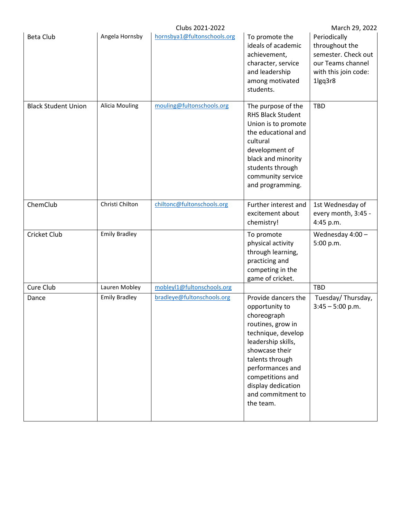|                            |                       | Clubs 2021-2022             |                                                                                                                                                                                                                                                            | March 29, 2022                                                                                                |
|----------------------------|-----------------------|-----------------------------|------------------------------------------------------------------------------------------------------------------------------------------------------------------------------------------------------------------------------------------------------------|---------------------------------------------------------------------------------------------------------------|
| <b>Beta Club</b>           | Angela Hornsby        | hornsbya1@fultonschools.org | To promote the<br>ideals of academic<br>achievement,<br>character, service<br>and leadership<br>among motivated<br>students.                                                                                                                               | Periodically<br>throughout the<br>semester. Check out<br>our Teams channel<br>with this join code:<br>1lgq3r8 |
| <b>Black Student Union</b> | <b>Alicia Mouling</b> | mouling@fultonschools.org   | The purpose of the<br><b>RHS Black Student</b><br>Union is to promote<br>the educational and<br>cultural<br>development of<br>black and minority<br>students through<br>community service<br>and programming.                                              | TBD                                                                                                           |
| ChemClub                   | Christi Chilton       | chiltonc@fultonschools.org  | Further interest and<br>excitement about<br>chemistry!                                                                                                                                                                                                     | 1st Wednesday of<br>every month, 3:45 -<br>4:45 p.m.                                                          |
| Cricket Club               | <b>Emily Bradley</b>  |                             | To promote<br>physical activity<br>through learning,<br>practicing and<br>competing in the<br>game of cricket.                                                                                                                                             | Wednesday $4:00 -$<br>5:00 p.m.                                                                               |
| Cure Club                  | Lauren Mobley         | mobleyl1@fultonschools.org  |                                                                                                                                                                                                                                                            | <b>TBD</b>                                                                                                    |
| Dance                      | <b>Emily Bradley</b>  | bradleye@fultonschools.org  | Provide dancers the<br>opportunity to<br>choreograph<br>routines, grow in<br>technique, develop<br>leadership skills,<br>showcase their<br>talents through<br>performances and<br>competitions and<br>display dedication<br>and commitment to<br>the team. | Tuesday/Thursday,<br>$3:45 - 5:00$ p.m.                                                                       |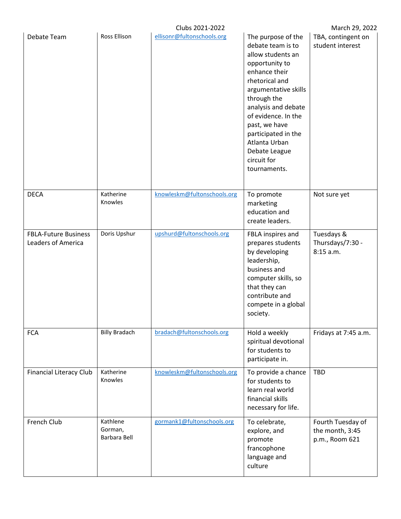|                                                   |                                     | Clubs 2021-2022             |                                                                                                                                                                                                                                                                                                                 | March 29, 2022                                         |
|---------------------------------------------------|-------------------------------------|-----------------------------|-----------------------------------------------------------------------------------------------------------------------------------------------------------------------------------------------------------------------------------------------------------------------------------------------------------------|--------------------------------------------------------|
| Debate Team                                       | <b>Ross Ellison</b>                 | ellisonr@fultonschools.org  | The purpose of the<br>debate team is to<br>allow students an<br>opportunity to<br>enhance their<br>rhetorical and<br>argumentative skills<br>through the<br>analysis and debate<br>of evidence. In the<br>past, we have<br>participated in the<br>Atlanta Urban<br>Debate League<br>circuit for<br>tournaments. | TBA, contingent on<br>student interest                 |
| <b>DECA</b>                                       | Katherine<br>Knowles                | knowleskm@fultonschools.org | To promote<br>marketing<br>education and<br>create leaders.                                                                                                                                                                                                                                                     | Not sure yet                                           |
| <b>FBLA-Future Business</b><br>Leaders of America | Doris Upshur                        | upshurd@fultonschools.org   | FBLA inspires and<br>prepares students<br>by developing<br>leadership,<br>business and<br>computer skills, so<br>that they can<br>contribute and<br>compete in a global<br>society.                                                                                                                             | Tuesdays &<br>Thursdays/7:30 -<br>8:15 a.m.            |
| <b>FCA</b>                                        | <b>Billy Bradach</b>                | bradach@fultonschools.org   | Hold a weekly<br>spiritual devotional<br>for students to<br>participate in.                                                                                                                                                                                                                                     | Fridays at 7:45 a.m.                                   |
| <b>Financial Literacy Club</b>                    | Katherine<br>Knowles                | knowleskm@fultonschools.org | To provide a chance<br>for students to<br>learn real world<br>financial skills<br>necessary for life.                                                                                                                                                                                                           | <b>TBD</b>                                             |
| French Club                                       | Kathlene<br>Gorman,<br>Barbara Bell | gormank1@fultonschools.org  | To celebrate,<br>explore, and<br>promote<br>francophone<br>language and<br>culture                                                                                                                                                                                                                              | Fourth Tuesday of<br>the month, 3:45<br>p.m., Room 621 |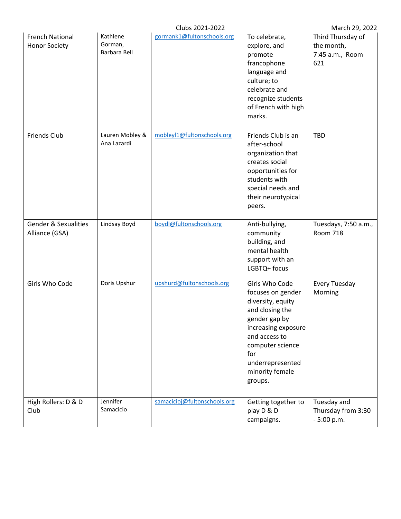|                                                   |                                     | Clubs 2021-2022              |                                                                                                                                                                                                                   | March 29, 2022                                            |
|---------------------------------------------------|-------------------------------------|------------------------------|-------------------------------------------------------------------------------------------------------------------------------------------------------------------------------------------------------------------|-----------------------------------------------------------|
| <b>French National</b><br><b>Honor Society</b>    | Kathlene<br>Gorman,<br>Barbara Bell | gormank1@fultonschools.org   | To celebrate,<br>explore, and<br>promote<br>francophone<br>language and<br>culture; to<br>celebrate and<br>recognize students<br>of French with high<br>marks.                                                    | Third Thursday of<br>the month,<br>7:45 a.m., Room<br>621 |
| <b>Friends Club</b>                               | Lauren Mobley &<br>Ana Lazardi      | mobleyl1@fultonschools.org   | Friends Club is an<br>after-school<br>organization that<br>creates social<br>opportunities for<br>students with<br>special needs and<br>their neurotypical<br>peers.                                              | <b>TBD</b>                                                |
| <b>Gender &amp; Sexualities</b><br>Alliance (GSA) | Lindsay Boyd                        | boydl@fultonschools.org      | Anti-bullying,<br>community<br>building, and<br>mental health<br>support with an<br>LGBTQ+ focus                                                                                                                  | Tuesdays, 7:50 a.m.,<br><b>Room 718</b>                   |
| Girls Who Code                                    | Doris Upshur                        | upshurd@fultonschools.org    | Girls Who Code<br>focuses on gender<br>diversity, equity<br>and closing the<br>gender gap by<br>increasing exposure<br>and access to<br>computer science<br>for<br>underrepresented<br>minority female<br>groups. | Every Tuesday<br>Morning                                  |
| High Rollers: D & D<br>Club                       | Jennifer<br>Samacicio               | samacicioj@fultonschools.org | Getting together to<br>play D & D<br>campaigns.                                                                                                                                                                   | Tuesday and<br>Thursday from 3:30<br>$-5:00 p.m.$         |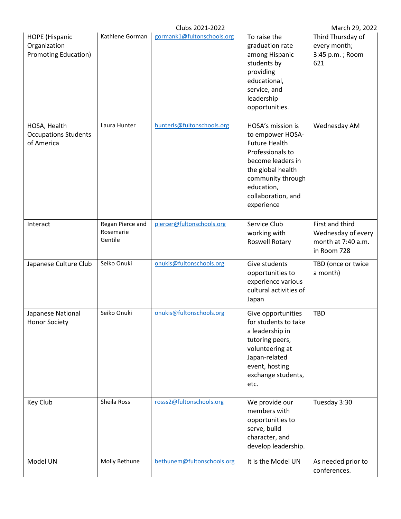|                                                                      |                                          | Clubs 2021-2022            |                                                                                                                                                                                                    | March 29, 2022                                                             |
|----------------------------------------------------------------------|------------------------------------------|----------------------------|----------------------------------------------------------------------------------------------------------------------------------------------------------------------------------------------------|----------------------------------------------------------------------------|
| <b>HOPE</b> (Hispanic<br>Organization<br><b>Promoting Education)</b> | Kathlene Gorman                          | gormank1@fultonschools.org | To raise the<br>graduation rate<br>among Hispanic<br>students by<br>providing<br>educational,<br>service, and<br>leadership<br>opportunities.                                                      | Third Thursday of<br>every month;<br>3:45 p.m.; Room<br>621                |
| HOSA, Health<br><b>Occupations Students</b><br>of America            | Laura Hunter                             | hunterls@fultonschools.org | HOSA's mission is<br>to empower HOSA-<br><b>Future Health</b><br>Professionals to<br>become leaders in<br>the global health<br>community through<br>education,<br>collaboration, and<br>experience | Wednesday AM                                                               |
| Interact                                                             | Regan Pierce and<br>Rosemarie<br>Gentile | piercer@fultonschools.org  | Service Club<br>working with<br>Roswell Rotary                                                                                                                                                     | First and third<br>Wednesday of every<br>month at 7:40 a.m.<br>in Room 728 |
| Japanese Culture Club                                                | Seiko Onuki                              | onukis@fultonschools.org   | Give students<br>opportunities to<br>experience various<br>cultural activities of<br>Japan                                                                                                         | TBD (once or twice<br>a month)                                             |
| Japanese National<br><b>Honor Society</b>                            | Seiko Onuki                              | onukis@fultonschools.org   | Give opportunities<br>for students to take<br>a leadership in<br>tutoring peers,<br>volunteering at<br>Japan-related<br>event, hosting<br>exchange students,<br>etc.                               | <b>TBD</b>                                                                 |
| Key Club                                                             | Sheila Ross                              | rosss2@fultonschools.org   | We provide our<br>members with<br>opportunities to<br>serve, build<br>character, and<br>develop leadership.                                                                                        | Tuesday 3:30                                                               |
| Model UN                                                             | Molly Bethune                            | bethunem@fultonschools.org | It is the Model UN                                                                                                                                                                                 | As needed prior to<br>conferences.                                         |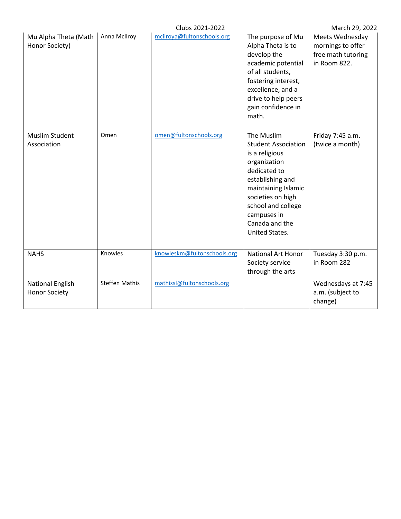|                                                 |                       | Clubs 2021-2022             |                                                                                                                                                                                                                                            | March 29, 2022                                                             |
|-------------------------------------------------|-----------------------|-----------------------------|--------------------------------------------------------------------------------------------------------------------------------------------------------------------------------------------------------------------------------------------|----------------------------------------------------------------------------|
| Mu Alpha Theta (Math<br>Honor Society)          | Anna McIlroy          | mcilroya@fultonschools.org  | The purpose of Mu<br>Alpha Theta is to<br>develop the<br>academic potential<br>of all students,<br>fostering interest,<br>excellence, and a<br>drive to help peers<br>gain confidence in<br>math.                                          | Meets Wednesday<br>mornings to offer<br>free math tutoring<br>in Room 822. |
| <b>Muslim Student</b><br>Association            | Omen                  | omen@fultonschools.org      | The Muslim<br><b>Student Association</b><br>is a religious<br>organization<br>dedicated to<br>establishing and<br>maintaining Islamic<br>societies on high<br>school and college<br>campuses in<br>Canada and the<br><b>United States.</b> | Friday 7:45 a.m.<br>(twice a month)                                        |
| <b>NAHS</b>                                     | Knowles               | knowleskm@fultonschools.org | National Art Honor<br>Society service<br>through the arts                                                                                                                                                                                  | Tuesday 3:30 p.m.<br>in Room 282                                           |
| <b>National English</b><br><b>Honor Society</b> | <b>Steffen Mathis</b> | mathissl@fultonschools.org  |                                                                                                                                                                                                                                            | Wednesdays at 7:45<br>a.m. (subject to<br>change)                          |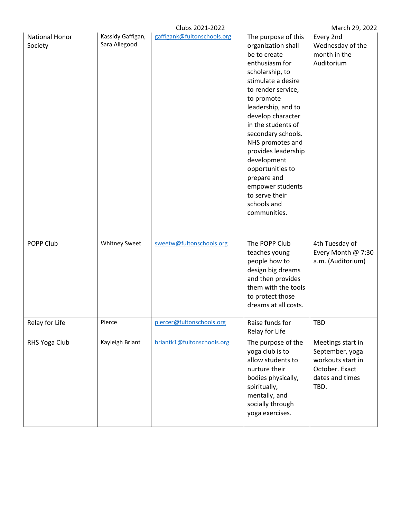|                                  |                                    | Clubs 2021-2022             |                                                                                                                                                                                                                                                                                                                                                                                                                   | March 29, 2022                                                                                         |
|----------------------------------|------------------------------------|-----------------------------|-------------------------------------------------------------------------------------------------------------------------------------------------------------------------------------------------------------------------------------------------------------------------------------------------------------------------------------------------------------------------------------------------------------------|--------------------------------------------------------------------------------------------------------|
| <b>National Honor</b><br>Society | Kassidy Gaffigan,<br>Sara Allegood | gaffigank@fultonschools.org | The purpose of this<br>organization shall<br>be to create<br>enthusiasm for<br>scholarship, to<br>stimulate a desire<br>to render service,<br>to promote<br>leadership, and to<br>develop character<br>in the students of<br>secondary schools.<br>NHS promotes and<br>provides leadership<br>development<br>opportunities to<br>prepare and<br>empower students<br>to serve their<br>schools and<br>communities. | Every 2nd<br>Wednesday of the<br>month in the<br>Auditorium                                            |
| POPP Club                        | Whitney Sweet                      | sweetw@fultonschools.org    | The POPP Club<br>teaches young<br>people how to<br>design big dreams<br>and then provides<br>them with the tools<br>to protect those<br>dreams at all costs.                                                                                                                                                                                                                                                      | 4th Tuesday of<br>Every Month @ 7:30<br>a.m. (Auditorium)                                              |
| Relay for Life                   | Pierce                             | piercer@fultonschools.org   | Raise funds for<br>Relay for Life                                                                                                                                                                                                                                                                                                                                                                                 | <b>TBD</b>                                                                                             |
| RHS Yoga Club                    | Kayleigh Briant                    | briantk1@fultonschools.org  | The purpose of the<br>yoga club is to<br>allow students to<br>nurture their<br>bodies physically,<br>spiritually,<br>mentally, and<br>socially through<br>yoga exercises.                                                                                                                                                                                                                                         | Meetings start in<br>September, yoga<br>workouts start in<br>October. Exact<br>dates and times<br>TBD. |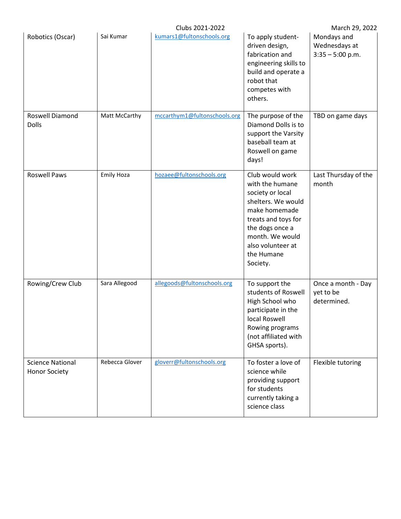|                                                 |                   | Clubs 2021-2022              |                                                                                                                                                                                                           | March 29, 2022                                     |
|-------------------------------------------------|-------------------|------------------------------|-----------------------------------------------------------------------------------------------------------------------------------------------------------------------------------------------------------|----------------------------------------------------|
| Robotics (Oscar)                                | Sai Kumar         | kumars1@fultonschools.org    | To apply student-<br>driven design,<br>fabrication and<br>engineering skills to<br>build and operate a<br>robot that<br>competes with<br>others.                                                          | Mondays and<br>Wednesdays at<br>$3:35 - 5:00$ p.m. |
| Roswell Diamond<br><b>Dolls</b>                 | Matt McCarthy     | mccarthym1@fultonschools.org | The purpose of the<br>Diamond Dolls is to<br>support the Varsity<br>baseball team at<br>Roswell on game<br>days!                                                                                          | TBD on game days                                   |
| <b>Roswell Paws</b>                             | <b>Emily Hoza</b> | hozaee@fultonschools.org     | Club would work<br>with the humane<br>society or local<br>shelters. We would<br>make homemade<br>treats and toys for<br>the dogs once a<br>month. We would<br>also volunteer at<br>the Humane<br>Society. | Last Thursday of the<br>month                      |
| Rowing/Crew Club                                | Sara Allegood     | allegoods@fultonschools.org  | To support the<br>students of Roswell<br>High School who<br>participate in the<br>local Roswell<br>Rowing programs<br>(not affiliated with<br>GHSA sports).                                               | Once a month - Day<br>yet to be<br>determined.     |
| <b>Science National</b><br><b>Honor Society</b> | Rebecca Glover    | gloverr@fultonschools.org    | To foster a love of<br>science while<br>providing support<br>for students<br>currently taking a<br>science class                                                                                          | Flexible tutoring                                  |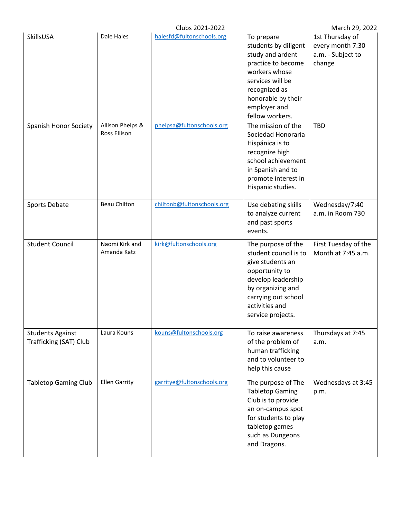|                                                   |                                  | Clubs 2021-2022            |                                                                                                                                                                                             | March 29, 2022                                                     |
|---------------------------------------------------|----------------------------------|----------------------------|---------------------------------------------------------------------------------------------------------------------------------------------------------------------------------------------|--------------------------------------------------------------------|
| SkillsUSA                                         | Dale Hales                       | halesfd@fultonschools.org  | To prepare<br>students by diligent<br>study and ardent<br>practice to become<br>workers whose<br>services will be<br>recognized as<br>honorable by their<br>employer and<br>fellow workers. | 1st Thursday of<br>every month 7:30<br>a.m. - Subject to<br>change |
| Spanish Honor Society                             | Allison Phelps &<br>Ross Ellison | phelpsa@fultonschools.org  | The mission of the<br>Sociedad Honoraria<br>Hispánica is to<br>recognize high<br>school achievement<br>in Spanish and to<br>promote interest in<br>Hispanic studies.                        | <b>TBD</b>                                                         |
| Sports Debate                                     | <b>Beau Chilton</b>              | chiltonb@fultonschools.org | Use debating skills<br>to analyze current<br>and past sports<br>events.                                                                                                                     | Wednesday/7:40<br>a.m. in Room 730                                 |
| <b>Student Council</b>                            | Naomi Kirk and<br>Amanda Katz    | kirk@fultonschools.org     | The purpose of the<br>student council is to<br>give students an<br>opportunity to<br>develop leadership<br>by organizing and<br>carrying out school<br>activities and<br>service projects.  | First Tuesday of the<br>Month at 7:45 a.m.                         |
| <b>Students Against</b><br>Trafficking (SAT) Club | Laura Kouns                      | kouns@fultonschools.org    | To raise awareness<br>of the problem of<br>human trafficking<br>and to volunteer to<br>help this cause                                                                                      | Thursdays at 7:45<br>a.m.                                          |
| <b>Tabletop Gaming Club</b>                       | <b>Ellen Garrity</b>             | garritye@fultonschools.org | The purpose of The<br><b>Tabletop Gaming</b><br>Club is to provide<br>an on-campus spot<br>for students to play<br>tabletop games<br>such as Dungeons<br>and Dragons.                       | Wednesdays at 3:45<br>p.m.                                         |